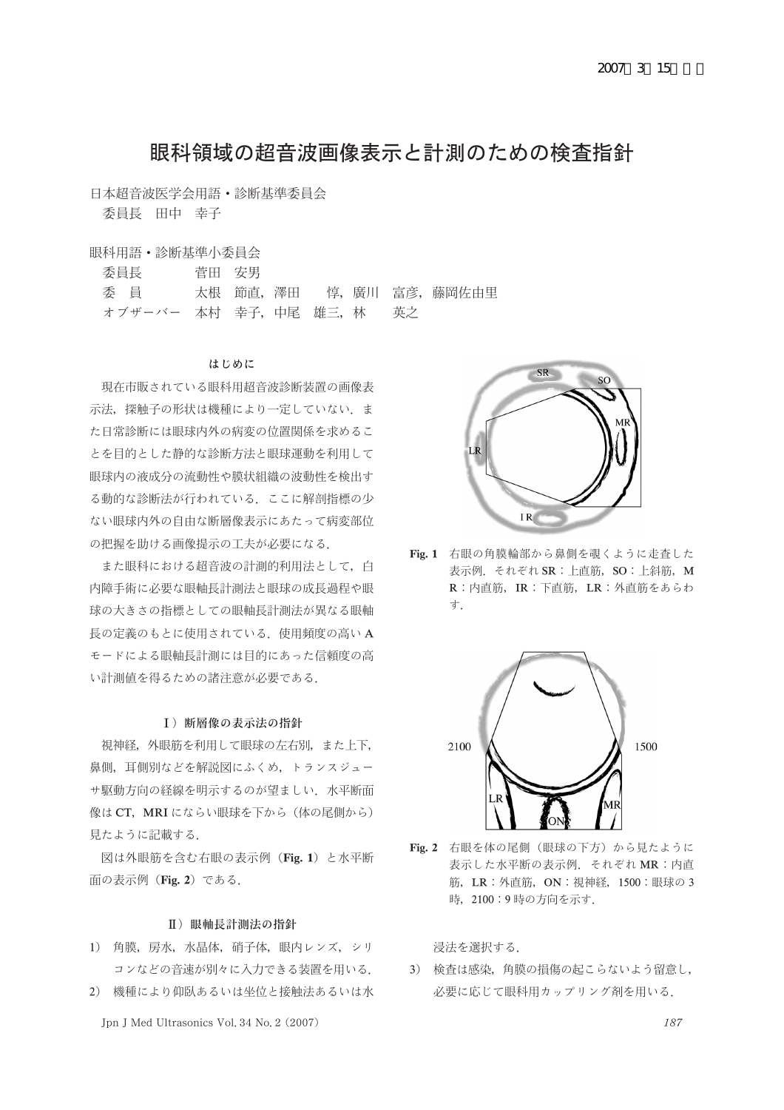# 眼科領域の超音波画像表示と計測のための検査指針

日本超音波医学会用語・診断基準委員会 委員長 田中 幸子

| 眼科用語·診断基準小委員会           |
|-------------------------|
| $\cdot$ . $\rightarrow$ |

委員長 菅田 安男 委 員 太根 節直, 澤田 惇, 廣川 富彦, 藤岡佐由里 オブザーバー 本村 幸子, 中尾 雄三, 林 英之

### はじめに

現在市販されている眼科用超音波診断装置の画像表 示法, 探触子の形状は機種により一定していない. ま た日常診断には眼球内外の病変の位置関係を求めるこ とを目的とした静的な診断方法と眼球運動を利用して 眼球内の液成分の流動性や膜状組織の波動性を検出す る動的な診断法が行われている. ここに解剖指標の少 ない眼球内外の自由な断層像表示にあたって病変部位 の把握を助ける画像提示の工夫が必要になる.

また眼科における超音波の計測的利用法として, 白 内障手術に必要な眼軸長計測法と眼球の成長過程や眼 球の大きさの指標としての眼軸長計測法が異なる眼軸 長の定義のもとに使用されている. 使用頻度の高い A モードによる眼軸長計測には目的にあった信頼度の高 い計測値を得るための諸注意が必要である.

### Ⅰ) 断層像の表示法の指針

視神経, 外眼筋を利用して眼球の左右別, また上下, 鼻側, 耳側別などを解説図にふくめ, トランスジュー サ駆動方向の経線を明示するのが望ましい. 水平断面 像は CT, MRI にならい眼球を下から (体の尾側から) 見たように記載する.

図は外眼筋を含む右眼の表示例 (**Fig. 1**) と水平断 面の表示例 (**Fig. 2**) である.

#### Ⅱ) 眼軸長計測法の指針

- 1) 角膜, 房水, 水晶体, 硝子体, 眼内レンズ, シリ コンなどの音速が別々に入力できる装置を用いる.
- 2) 機種により仰臥あるいは坐位と接触法あるいは水



**Fig. 1** 右眼の角膜輪部から鼻側を覗くように走査した 表示例. それぞれ SR:上直筋, SO:上斜筋, M R:内直筋, IR:下直筋, LR:外直筋をあらわ す.



**Fig. 2** 右眼を体の尾側 (眼球の下方) から見たように 表示した水平断の表示例. それぞれ MR:内直 筋, LR:外直筋, ON:視神経, 1500:眼球の 3 時, 2100:9 時の方向を示す.

浸法を選択する.

3) 検査は感染, 角膜の損傷の起こらないよう留意し, 必要に応じて眼科用カップリング剤を用いる.

Jpn J Med Ultrasonics Vol. 34 No. 2 (2007) 187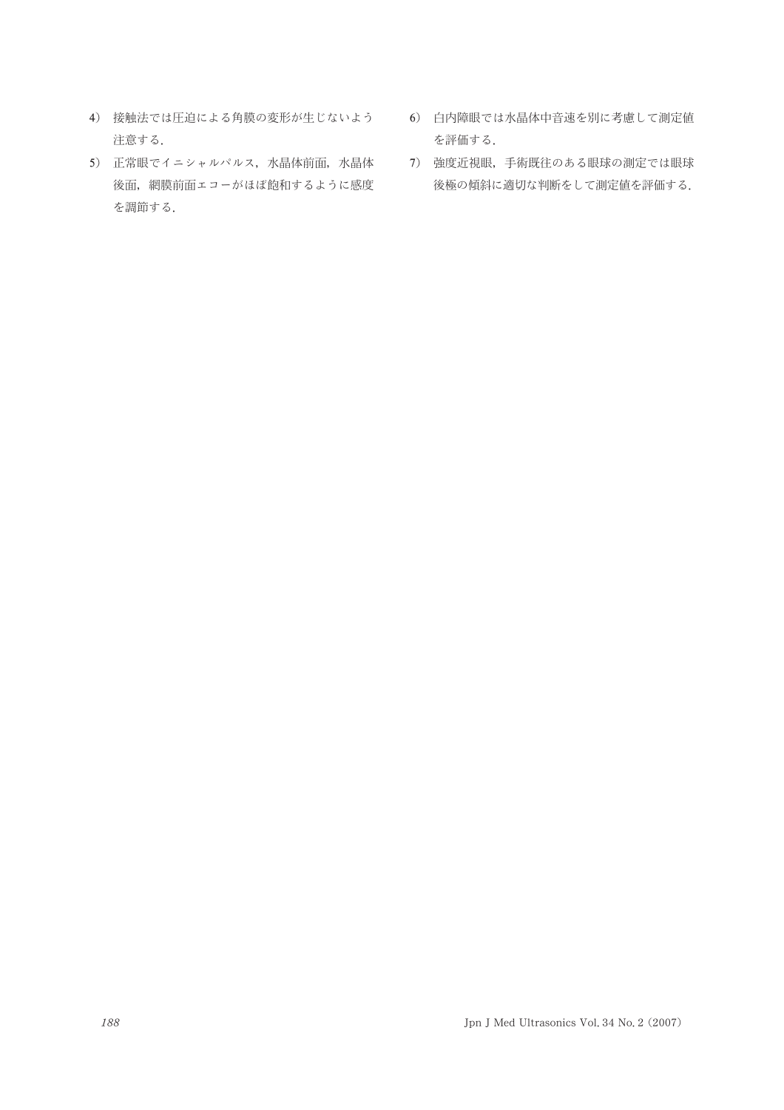- 4) 接触法では圧迫による角膜の変形が生じないよう 注意する.
- 5) 正常眼でイニシャルパルス, 水晶体前面, 水晶体 後面, 網膜前面エコーがほぼ飽和するように感度 を調節する.
- 6) 白内障眼では水晶体中音速を別に考慮して測定値 を評価する.
- 7) 強度近視眼, 手術既往のある眼球の測定では眼球 後極の傾斜に適切な判断をして測定値を評価する.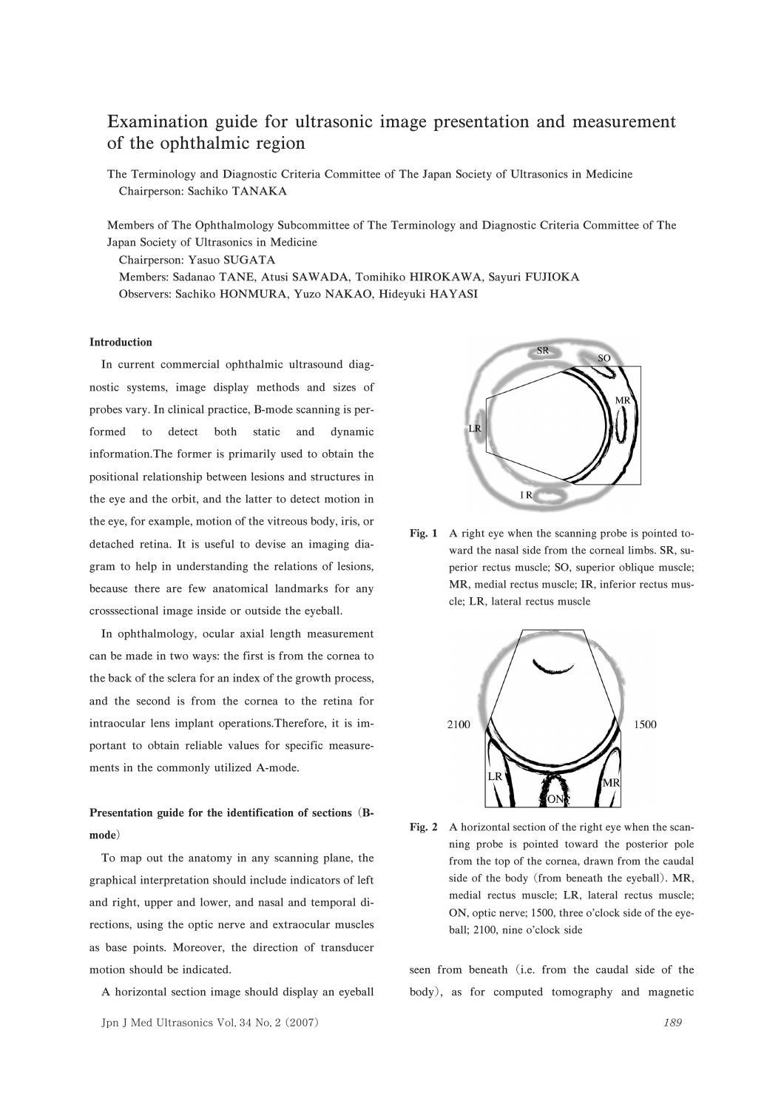## Examination guide for ultrasonic image presentation and measurement of the ophthalmic region

The Terminology and Diagnostic Criteria Committee of The Japan Society of Ultrasonics in Medicine Chairperson: Sachiko TANAKA

Members of The Ophthalmology Subcommittee of The Terminology and Diagnostic Criteria Committee of The Japan Society of Ultrasonics in Medicine

Chairperson: Yasuo SUGATA

Members: Sadanao TANE, Atusi SAWADA, Tomihiko HIROKAWA, Sayuri FUJIOKA Observers: Sachiko HONMURA, Yuzo NAKAO, Hideyuki HAYASI

### **Introduction**

In current commercial ophthalmic ultrasound diagnostic systems, image display methods and sizes of probes vary. In clinical practice, B-mode scanning is performed to detect both static and dynamic information.The former is primarily used to obtain the positional relationship between lesions and structures in the eye and the orbit, and the latter to detect motion in the eye, for example, motion of the vitreous body, iris, or detached retina. It is useful to devise an imaging diagram to help in understanding the relations of lesions, because there are few anatomical landmarks for any crosssectional image inside or outside the eyeball.

In ophthalmology, ocular axial length measurement can be made in two ways: the first is from the cornea to the back of the sclera for an index of the growth process, and the second is from the cornea to the retina for intraocular lens implant operations.Therefore, it is important to obtain reliable values for specific measurements in the commonly utilized A-mode.

### **Presentation guide for the identification of sections** (**Bmode**)

To map out the anatomy in any scanning plane, the graphical interpretation should include indicators of left and right, upper and lower, and nasal and temporal directions, using the optic nerve and extraocular muscles as base points. Moreover, the direction of transducer motion should be indicated.

A horizontal section image should display an eyeball



**Fig. 1** A right eye when the scanning probe is pointed toward the nasal side from the corneal limbs. SR, superior rectus muscle; SO, superior oblique muscle; MR, medial rectus muscle; IR, inferior rectus muscle; LR, lateral rectus muscle



**Fig. 2** A horizontal section of the right eye when the scanning probe is pointed toward the posterior pole from the top of the cornea, drawn from the caudal side of the body (from beneath the eyeball). MR, medial rectus muscle; LR, lateral rectus muscle; ON, optic nerve; 1500, three o'clock side of the eyeball; 2100, nine o'clock side

seen from beneath (i.e. from the caudal side of the body), as for computed tomography and magnetic